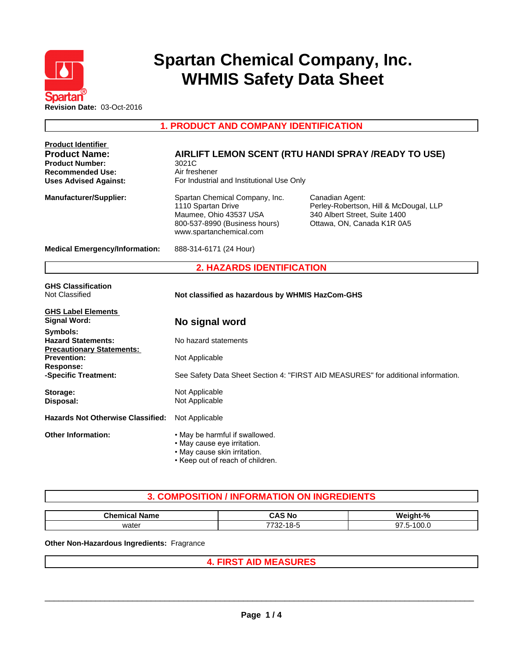

# **Spartan Chemical Company, Inc. WHMIS Safety Data Sheet**

**1. PRODUCT AND COMPANY IDENTIFICATION**

| <b>Product Identifier</b><br><b>Product Name:</b><br><b>Product Number:</b><br><b>Recommended Use:</b><br><b>Uses Advised Against:</b> | 3021C<br>Air freshener<br>For Industrial and Institutional Use Only                                                                        | AIRLIFT LEMON SCENT (RTU HANDI SPRAY /READY TO USE)                                                                      |  |
|----------------------------------------------------------------------------------------------------------------------------------------|--------------------------------------------------------------------------------------------------------------------------------------------|--------------------------------------------------------------------------------------------------------------------------|--|
| <b>Manufacturer/Supplier:</b>                                                                                                          | Spartan Chemical Company, Inc.<br>1110 Spartan Drive<br>Maumee, Ohio 43537 USA<br>800-537-8990 (Business hours)<br>www.spartanchemical.com | Canadian Agent:<br>Perley-Robertson, Hill & McDougal, LLP<br>340 Albert Street, Suite 1400<br>Ottawa, ON, Canada K1R 0A5 |  |
| <b>Medical Emergency/Information:</b>                                                                                                  | 888-314-6171 (24 Hour)                                                                                                                     |                                                                                                                          |  |
|                                                                                                                                        | <b>2. HAZARDS IDENTIFICATION</b>                                                                                                           |                                                                                                                          |  |
| <b>GHS Classification</b><br>Not Classified                                                                                            | Not classified as hazardous by WHMIS HazCom-GHS                                                                                            |                                                                                                                          |  |
| <b>GHS Label Elements</b><br><b>Signal Word:</b>                                                                                       | No signal word                                                                                                                             |                                                                                                                          |  |
| Symbols:<br><b>Hazard Statements:</b><br><b>Precautionary Statements:</b>                                                              | No hazard statements                                                                                                                       |                                                                                                                          |  |
| <b>Prevention:</b><br><b>Response:</b>                                                                                                 | Not Applicable                                                                                                                             |                                                                                                                          |  |
| -Specific Treatment:                                                                                                                   |                                                                                                                                            | See Safety Data Sheet Section 4: "FIRST AID MEASURES" for additional information.                                        |  |
| Storage:<br>Disposal:                                                                                                                  | Not Applicable<br>Not Applicable                                                                                                           |                                                                                                                          |  |
| <b>Hazards Not Otherwise Classified:</b>                                                                                               | Not Applicable                                                                                                                             |                                                                                                                          |  |
| <b>Other Information:</b>                                                                                                              | . May be harmful if swallowed.<br>• May cause eye irritation.<br>• May cause skin irritation.<br>• Keep out of reach of children.          |                                                                                                                          |  |

# **3. COMPOSITION / INFORMATION ON INGREDIENTS**

| --<br><b>Chemical</b><br>Name | $\mathbf{\hat{c}}$<br>⊸∧<br>CAS No                           | $\mathbf{a}$<br>.        |
|-------------------------------|--------------------------------------------------------------|--------------------------|
| water                         | $\sim$ $\sim$<br>$\overline{\phantom{a}}$<br>. ה-חי<br>-22 . | $\sim$<br>∽-<br>uu.<br>. |

**Other Non-Hazardous Ingredients:** Fragrance

## **4. FIRST AID MEASURES**

 $\_$  ,  $\_$  ,  $\_$  ,  $\_$  ,  $\_$  ,  $\_$  ,  $\_$  ,  $\_$  ,  $\_$  ,  $\_$  ,  $\_$  ,  $\_$  ,  $\_$  ,  $\_$  ,  $\_$  ,  $\_$  ,  $\_$  ,  $\_$  ,  $\_$  ,  $\_$  ,  $\_$  ,  $\_$  ,  $\_$  ,  $\_$  ,  $\_$  ,  $\_$  ,  $\_$  ,  $\_$  ,  $\_$  ,  $\_$  ,  $\_$  ,  $\_$  ,  $\_$  ,  $\_$  ,  $\_$  ,  $\_$  ,  $\_$  ,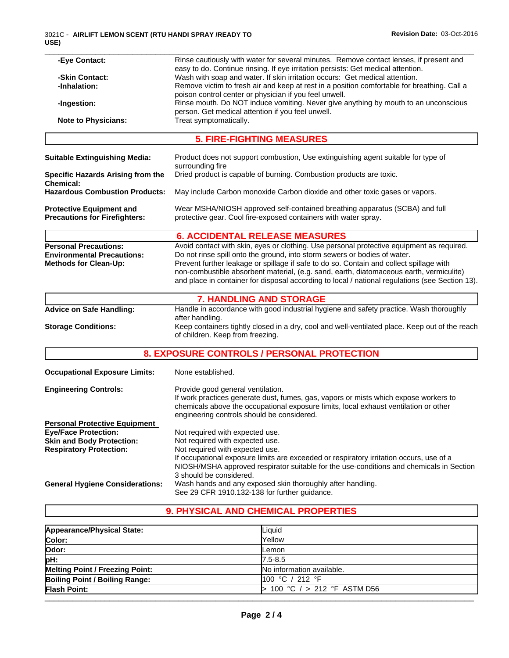| -Eye Contact:                                                | Rinse cautiously with water for several minutes. Remove contact lenses, if present and                                                        |
|--------------------------------------------------------------|-----------------------------------------------------------------------------------------------------------------------------------------------|
|                                                              | easy to do. Continue rinsing. If eye irritation persists: Get medical attention.                                                              |
| -Skin Contact:                                               | Wash with soap and water. If skin irritation occurs: Get medical attention.                                                                   |
| -Inhalation:                                                 | Remove victim to fresh air and keep at rest in a position comfortable for breathing. Call a                                                   |
|                                                              | poison control center or physician if you feel unwell.<br>Rinse mouth. Do NOT induce vomiting. Never give anything by mouth to an unconscious |
| -Ingestion:                                                  | person. Get medical attention if you feel unwell.                                                                                             |
| <b>Note to Physicians:</b>                                   | Treat symptomatically.                                                                                                                        |
|                                                              |                                                                                                                                               |
|                                                              | <b>5. FIRE-FIGHTING MEASURES</b>                                                                                                              |
| <b>Suitable Extinguishing Media:</b>                         | Product does not support combustion, Use extinguishing agent suitable for type of<br>surrounding fire                                         |
| <b>Specific Hazards Arising from the</b><br><b>Chemical:</b> | Dried product is capable of burning. Combustion products are toxic.                                                                           |
| <b>Hazardous Combustion Products:</b>                        | May include Carbon monoxide Carbon dioxide and other toxic gases or vapors.                                                                   |
| <b>Protective Equipment and</b>                              | Wear MSHA/NIOSH approved self-contained breathing apparatus (SCBA) and full                                                                   |
| <b>Precautions for Firefighters:</b>                         | protective gear. Cool fire-exposed containers with water spray.                                                                               |
|                                                              | <b>6. ACCIDENTAL RELEASE MEASURES</b>                                                                                                         |
| <b>Personal Precautions:</b>                                 | Avoid contact with skin, eyes or clothing. Use personal protective equipment as required.                                                     |
| <b>Environmental Precautions:</b>                            | Do not rinse spill onto the ground, into storm sewers or bodies of water.                                                                     |
| <b>Methods for Clean-Up:</b>                                 | Prevent further leakage or spillage if safe to do so. Contain and collect spillage with                                                       |
|                                                              | non-combustible absorbent material, (e.g. sand, earth, diatomaceous earth, vermiculite)                                                       |
|                                                              | and place in container for disposal according to local / national regulations (see Section 13).                                               |
|                                                              | <b>7. HANDLING AND STORAGE</b>                                                                                                                |
| <b>Advice on Safe Handling:</b>                              | Handle in accordance with good industrial hygiene and safety practice. Wash thoroughly                                                        |
|                                                              | after handling.                                                                                                                               |
| <b>Storage Conditions:</b>                                   | Keep containers tightly closed in a dry, cool and well-ventilated place. Keep out of the reach<br>of children. Keep from freezing.            |
|                                                              | 8. EXPOSURE CONTROLS / PERSONAL PROTECTION                                                                                                    |
| <b>Occupational Exposure Limits:</b>                         | None established.                                                                                                                             |
| <b>Engineering Controls:</b>                                 | Provide good general ventilation.                                                                                                             |
|                                                              | If work practices generate dust, fumes, gas, vapors or mists which expose workers to                                                          |
|                                                              | chemicals above the occupational exposure limits, local exhaust ventilation or other                                                          |
|                                                              | engineering controls should be considered.                                                                                                    |
| <b>Personal Protective Equipment</b>                         |                                                                                                                                               |
| <b>Eye/Face Protection:</b>                                  | Not required with expected use.                                                                                                               |
| <b>Skin and Body Protection:</b>                             | Not required with expected use.                                                                                                               |
| <b>Respiratory Protection:</b>                               | Not required with expected use.                                                                                                               |
|                                                              | If occupational exposure limits are exceeded or respiratory irritation occurs, use of a                                                       |
|                                                              | NIOSH/MSHA approved respirator suitable for the use-conditions and chemicals in Section                                                       |
|                                                              | 3 should be considered.                                                                                                                       |
| <b>General Hygiene Considerations:</b>                       | Wash hands and any exposed skin thoroughly after handling.                                                                                    |
|                                                              |                                                                                                                                               |

# **9. PHYSICAL AND CHEMICAL PROPERTIES**

See 29 CFR 1910.132-138 for further guidance.

| Appearance/Physical State:             | Liquid                       |  |
|----------------------------------------|------------------------------|--|
| Color:                                 | Yellow                       |  |
| Odor:                                  | Lemon                        |  |
| pH:                                    | 7.5-8.5                      |  |
| <b>Melting Point / Freezing Point:</b> | No information available.    |  |
| Boiling Point / Boiling Range:         | 100 °C / 212 °F              |  |
| <b>Flash Point:</b>                    | 100 °C $/$ > 212 °F ASTM D56 |  |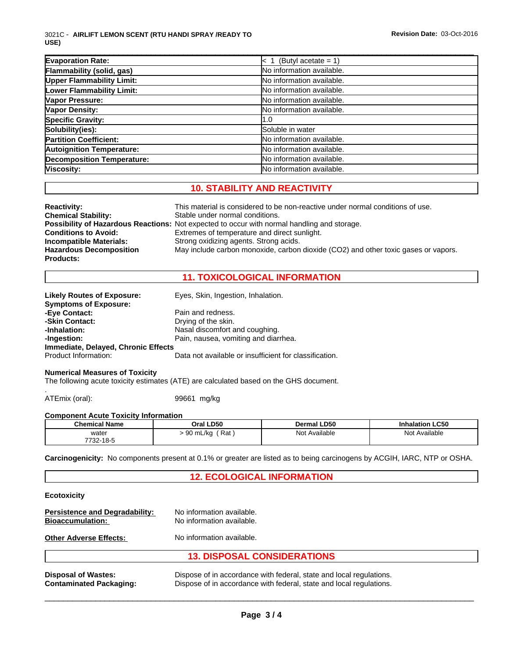| <b>Evaporation Rate:</b>          | (Butyl acetate = $1$ )    |
|-----------------------------------|---------------------------|
| Flammability (solid, gas)         | No information available. |
| <b>Upper Flammability Limit:</b>  | No information available. |
| Lower Flammability Limit:         | No information available. |
| Vapor Pressure:                   | No information available. |
| <b>Vapor Density:</b>             | No information available. |
| <b>Specific Gravity:</b>          | 1.0                       |
| Solubility(ies):                  | Soluble in water          |
| <b>Partition Coefficient:</b>     | No information available. |
| <b>Autoignition Temperature:</b>  | No information available. |
| <b>Decomposition Temperature:</b> | No information available. |
| Viscosity:                        | No information available. |

\_\_\_\_\_\_\_\_\_\_\_\_\_\_\_\_\_\_\_\_\_\_\_\_\_\_\_\_\_\_\_\_\_\_\_\_\_\_\_\_\_\_\_\_\_\_\_\_\_\_\_\_\_\_\_\_\_\_\_\_\_\_\_\_\_\_\_\_\_\_\_\_\_\_\_\_\_\_\_\_\_\_\_\_\_\_\_\_\_\_\_\_\_

# **10. STABILITY AND REACTIVITY**

| <b>Reactivity:</b>             | This material is considered to be non-reactive under normal conditions of use.                     |
|--------------------------------|----------------------------------------------------------------------------------------------------|
| <b>Chemical Stability:</b>     | Stable under normal conditions.                                                                    |
|                                | <b>Possibility of Hazardous Reactions:</b> Not expected to occur with normal handling and storage. |
| <b>Conditions to Avoid:</b>    | Extremes of temperature and direct sunlight.                                                       |
| <b>Incompatible Materials:</b> | Strong oxidizing agents. Strong acids.                                                             |
| <b>Hazardous Decomposition</b> | May include carbon monoxide, carbon dioxide (CO2) and other toxic gases or vapors.                 |
| <b>Products:</b>               |                                                                                                    |

## **11. TOXICOLOGICAL INFORMATION**

| <b>Likely Routes of Exposure:</b>   | Eyes, Skin, Ingestion, Inhalation.                     |
|-------------------------------------|--------------------------------------------------------|
| <b>Symptoms of Exposure:</b>        |                                                        |
| -Eye Contact:                       | Pain and redness.                                      |
| -Skin Contact:                      | Drying of the skin.                                    |
| -Inhalation:                        | Nasal discomfort and coughing.                         |
| -Ingestion:                         | Pain, nausea, vomiting and diarrhea.                   |
| Immediate, Delayed, Chronic Effects |                                                        |
| Product Information:                | Data not available or insufficient for classification. |

## **Numerical Measures of Toxicity**

The following acute toxicity estimates (ATE) are calculated based on the GHS document.

ATEmix (oral): 99661 mg/kg

### **Component Acute Toxicity Information**

| <b>Chemical Name</b> | Oral LD50            | Dermal LD50        | <b>Inhalation LC50</b> |
|----------------------|----------------------|--------------------|------------------------|
| water<br>7732-18-5   | Rat<br>ഹ<br>90 mL/kg | Not<br>: Available | Not Available          |

**Carcinogenicity:** No components present at 0.1% or greater are listed as to being carcinogens by ACGIH, IARC, NTP or OSHA.

### **12. ECOLOGICAL INFORMATION**

#### **Ecotoxicity**

| <b>Persistence and Degradability:</b><br><b>Bioaccumulation:</b> | No information available.<br>No information available.                                                                                     |  |
|------------------------------------------------------------------|--------------------------------------------------------------------------------------------------------------------------------------------|--|
| <b>Other Adverse Effects:</b>                                    | No information available.                                                                                                                  |  |
|                                                                  | <b>13. DISPOSAL CONSIDERATIONS</b>                                                                                                         |  |
| <b>Disposal of Wastes:</b><br><b>Contaminated Packaging:</b>     | Dispose of in accordance with federal, state and local regulations.<br>Dispose of in accordance with federal, state and local regulations. |  |

**Page 3 / 4**